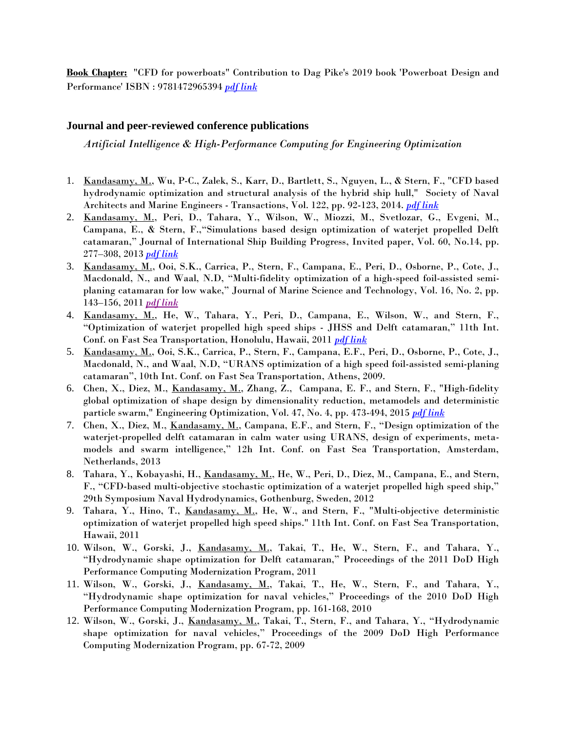**Book Chapter:** "CFD for powerboats" Contribution to Dag Pike's 2019 book 'Powerboat Design and Performance' ISBN : 9781472965394 *[pdf link](https://www.flowcfd.com/uploads/5/3/4/0/53401797/contribution-to-dag-pike-powerboat-book.pdf)*

## **Journal and peer-reviewed conference publications**

*Artificial Intelligence & High-Performance Computing for Engineering Optimization*

- 1. Kandasamy, M., Wu, P-C., Zalek, S., Karr, D., Bartlett, S., Nguyen, L., & Stern, F., "CFD based hydrodynamic optimization and structural analysis of the hybrid ship hull," Society of Naval Architects and Marine Engineers - Transactions, Vol. 122, pp. 92-123, 2014. *[pdf link](https://www.flowcfd.com/uploads/5/3/4/0/53401797/sname-hybrid-ship.pdf)*
- 2. Kandasamy, M., Peri, D., Tahara, Y., Wilson, W., Miozzi, M., Svetlozar, G., Evgeni, M., Campana, E., & Stern, F.,"Simulations based design optimization of waterjet propelled Delft catamaran," Journal of International Ship Building Progress, Invited paper, Vol. 60, No.14, pp. 277–308, 2013 *[pdf link](https://www.flowcfd.com/uploads/5/3/4/0/53401797/international-shipbuilding-progress-wj-opt.pdf)*
- 3. Kandasamy, M., Ooi, S.K., Carrica, P., Stern, F., Campana, E., Peri, D., Osborne, P., Cote, J., Macdonald, N., and Waal, N.D, "Multi-fidelity optimization of a high-speed foil-assisted semiplaning catamaran for low wake," Journal of Marine Science and Technology, Vol. 16, No. 2, pp. 143–156, 2011 *[pdf link](https://www.flowcfd.com/uploads/5/3/4/0/53401797/jmst-low-wake-opt.pdf)*
- 4. Kandasamy, M., He, W., Tahara, Y., Peri, D., Campana, E., Wilson, W., and Stern, F., "Optimization of waterjet propelled high speed ships - JHSS and Delft catamaran," 11th Int. Conf. on Fast Sea Transportation, Honolulu, Hawaii, 2011 *[pdf link](https://www.flowcfd.com/uploads/5/3/4/0/53401797/fast2011-wj-opt.pdf)*
- 5. Kandasamy, M., Ooi, S.K., Carrica, P., Stern, F., Campana, E.F., Peri, D., Osborne, P., Cote, J., Macdonald, N., and Waal, N.D, "URANS optimization of a high speed foil-assisted semi-planing catamaran", 10th Int. Conf. on Fast Sea Transportation, Athens, 2009.
- 6. Chen, X., Diez, M., Kandasamy, M., Zhang, Z., Campana, E. F., and Stern, F., "High-fidelity global optimization of shape design by dimensionality reduction, metamodels and deterministic particle swarm," Engineering Optimization, Vol. 47, No. 4, pp. 473-494, 2015 *[pdf link](https://www.flowcfd.com/uploads/5/3/4/0/53401797/___xi.pdf)*
- 7. Chen, X., Diez, M., Kandasamy, M., Campana, E.F., and Stern, F., "Design optimization of the waterjet-propelled delft catamaran in calm water using URANS, design of experiments, metamodels and swarm intelligence," 12h Int. Conf. on Fast Sea Transportation, Amsterdam, Netherlands, 2013
- 8. Tahara, Y., Kobayashi, H., Kandasamy, M., He, W., Peri, D., Diez, M., Campana, E., and Stern, F., "CFD-based multi-objective stochastic optimization of a waterjet propelled high speed ship," 29th Symposium Naval Hydrodynamics, Gothenburg, Sweden, 2012
- 9. Tahara, Y., Hino, T., Kandasamy, M., He, W., and Stern, F., "Multi-objective deterministic optimization of waterjet propelled high speed ships." 11th Int. Conf. on Fast Sea Transportation, Hawaii, 2011
- 10. Wilson, W., Gorski, J., Kandasamy, M., Takai, T., He, W., Stern, F., and Tahara, Y., "Hydrodynamic shape optimization for Delft catamaran," Proceedings of the 2011 DoD High Performance Computing Modernization Program, 2011
- 11. Wilson, W., Gorski, J., Kandasamy, M., Takai, T., He, W., Stern, F., and Tahara, Y., "Hydrodynamic shape optimization for naval vehicles," Proceedings of the 2010 DoD High Performance Computing Modernization Program, pp. 161-168, 2010
- 12. Wilson, W., Gorski, J., Kandasamy, M., Takai, T., Stern, F., and Tahara, Y., "Hydrodynamic shape optimization for naval vehicles," Proceedings of the 2009 DoD High Performance Computing Modernization Program, pp. 67-72, 2009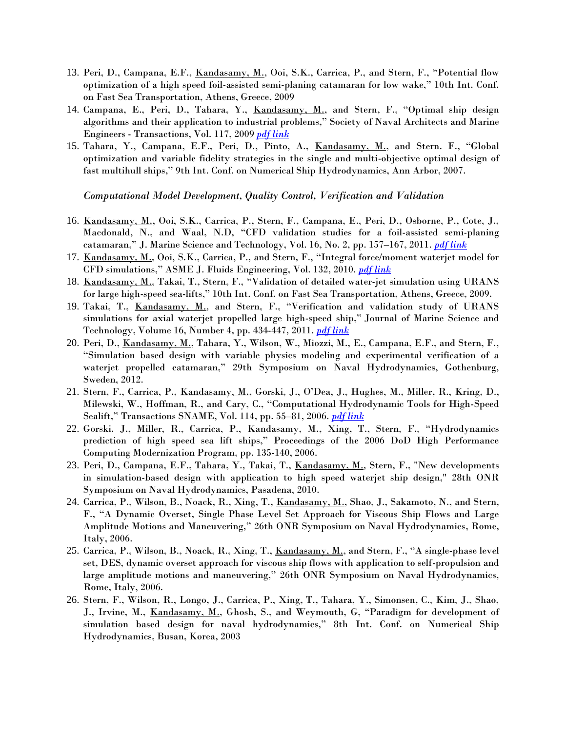- 13. Peri, D., Campana, E.F., Kandasamy, M., Ooi, S.K., Carrica, P., and Stern, F., "Potential flow optimization of a high speed foil-assisted semi-planing catamaran for low wake," 10th Int. Conf. on Fast Sea Transportation, Athens, Greece, 2009
- 14. Campana, E., Peri, D., Tahara, Y., <u>Kandasamy, M.,</u> and Stern, F., "Optimal ship design algorithms and their application to industrial problems," Society of Naval Architects and Marine Engineers - Transactions, Vol. 117, 2009 *[pdf link](https://www.flowcfd.com/uploads/5/3/4/0/53401797/___opt-methods.pdf)*
- 15. Tahara, Y., Campana, E.F., Peri, D., Pinto, A., Kandasamy, M., and Stern. F., "Global optimization and variable fidelity strategies in the single and multi-objective optimal design of fast multihull ships," 9th Int. Conf. on Numerical Ship Hydrodynamics, Ann Arbor, 2007.

*Computational Model Development, Quality Control, Verification and Validation*

- 16. Kandasamy, M., Ooi, S.K., Carrica, P., Stern, F., Campana, E., Peri, D., Osborne, P., Cote, J., Macdonald, N., and Waal, N.D, "CFD validation studies for a foil-assisted semi-planing catamaran," J. Marine Science and Technology, Vol. 16, No. 2, pp. 157–167, 2011. *[pdf link](https://www.flowcfd.com/uploads/5/3/4/0/53401797/jmst-foilcat-v_v.pdf)*
- 17. Kandasamy, M., Ooi, S.K., Carrica, P., and Stern, F., "Integral force/moment waterjet model for CFD simulations," ASME J. Fluids Engineering, Vol. 132, 2010. *[pdf link](https://www.flowcfd.com/uploads/5/3/4/0/53401797/fluids-engineering-waterjet-model.pdf)*
- 18. Kandasamy, M., Takai, T., Stern, F., "Validation of detailed water-jet simulation using URANS for large high-speed sea-lifts," 10th Int. Conf. on Fast Sea Transportation, Athens, Greece, 2009.
- 19. Takai, T., Kandasamy, M., and Stern, F., "Verification and validation study of URANS simulations for axial waterjet propelled large high-speed ship," Journal of Marine Science and Technology, [Volume 16,](http://www.springerlink.com/content/0948-4280/16/) Number 4, pp. 434-447, 2011. *[pdf link](https://www.flowcfd.com/uploads/5/3/4/0/53401797/___jhss_v_v_manuscript_-_jmst.pdf)*
- 20. Peri, D., Kandasamy, M., Tahara, Y., Wilson, W., Miozzi, M., E., Campana, E.F., and Stern, F., "Simulation based design with variable physics modeling and experimental verification of a waterjet propelled catamaran," 29th Symposium on Naval Hydrodynamics, Gothenburg, Sweden, 2012.
- 21. Stern, F., Carrica, P., Kandasamy, M., Gorski, J., O'Dea, J., Hughes, M., Miller, R., Kring, D., Milewski, W., Hoffman, R., and Cary, C., "Computational Hydrodynamic Tools for High-Speed Sealift," Transactions SNAME, Vol. 114, pp. 55–81, 2006. *[pdf link](https://www.flowcfd.com/uploads/5/3/4/0/53401797/smtc_e-final.pdf)*
- 22. Gorski. J., Miller, R., Carrica, P., Kandasamy, M., Xing, T., Stern, F., "Hydrodynamics prediction of high speed sea lift ships," Proceedings of the 2006 DoD High Performance Computing Modernization Program, pp. 135-140, 2006.
- 23. Peri, D., Campana, E.F., Tahara, Y., Takai, T., Kandasamy, M., Stern, F., "New developments in simulation-based design with application to high speed waterjet ship design," 28th ONR Symposium on Naval Hydrodynamics, Pasadena, 2010.
- 24. Carrica, P., Wilson, B., Noack, R., Xing, T., Kandasamy, M., Shao, J., Sakamoto, N., and Stern, F., "A Dynamic Overset, Single Phase Level Set Approach for Viscous Ship Flows and Large Amplitude Motions and Maneuvering," 26th ONR Symposium on Naval Hydrodynamics, Rome, Italy, 2006.
- 25. Carrica, P., Wilson, B., Noack, R., Xing, T., Kandasamy, M., and Stern, F., "A single-phase level set, DES, dynamic overset approach for viscous ship flows with application to self-propulsion and large amplitude motions and maneuvering," 26th ONR Symposium on Naval Hydrodynamics, Rome, Italy, 2006.
- 26. Stern, F., Wilson, R., Longo, J., Carrica, P., Xing, T., Tahara, Y., Simonsen, C., Kim, J., Shao, J., Irvine, M., Kandasamy, M., Ghosh, S., and Weymouth, G, "Paradigm for development of simulation based design for naval hydrodynamics," 8th Int. Conf. on Numerical Ship Hydrodynamics, Busan, Korea, 2003